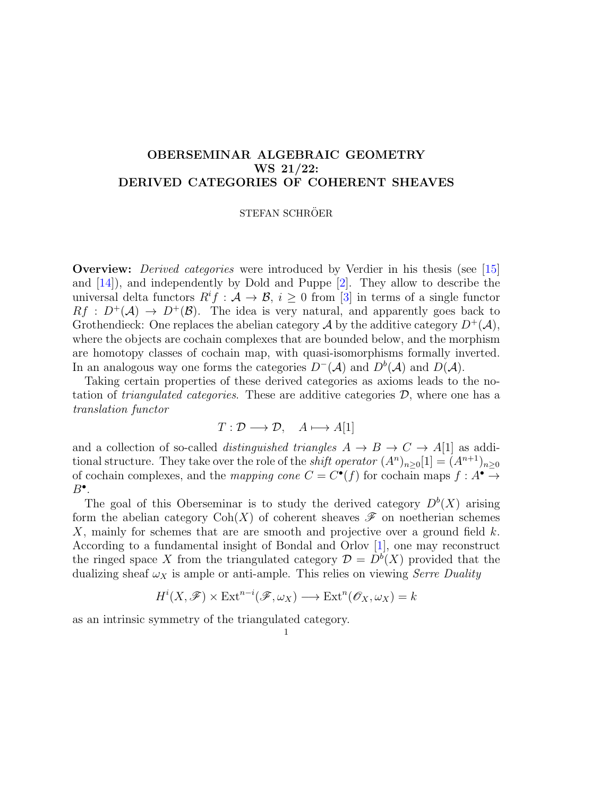## OBERSEMINAR ALGEBRAIC GEOMETRY WS 21/22: DERIVED CATEGORIES OF COHERENT SHEAVES

## STEFAN SCHRÖER

Overview: Derived categories were introduced by Verdier in his thesis (see [\[15\]](#page-3-0) and [\[14\]](#page-3-1)), and independently by Dold and Puppe [\[2\]](#page-3-2). They allow to describe the universal delta functors  $R^if: \mathcal{A} \to \mathcal{B}, i \geq 0$  from [\[3\]](#page-3-3) in terms of a single functor  $Rf : D^+(\mathcal{A}) \to D^+(\mathcal{B})$ . The idea is very natural, and apparently goes back to Grothendieck: One replaces the abelian category  $\mathcal A$  by the additive category  $D^+(\mathcal A)$ , where the objects are cochain complexes that are bounded below, and the morphism are homotopy classes of cochain map, with quasi-isomorphisms formally inverted. In an analogous way one forms the categories  $D^{-}(\mathcal{A})$  and  $D^{b}(\mathcal{A})$  and  $D(\mathcal{A})$ .

Taking certain properties of these derived categories as axioms leads to the notation of *triangulated categories*. These are additive categories  $\mathcal{D}$ , where one has a translation functor

$$
T: \mathcal{D} \longrightarrow \mathcal{D}, \quad A \longmapsto A[1]
$$

and a collection of so-called *distinguished triangles*  $A \rightarrow B \rightarrow C \rightarrow A[1]$  as additional structure. They take over the role of the *shift operator*  $(A^n)_{n\geq 0}[1] = (A^{n+1})_{n\geq 0}$ of cochain complexes, and the mapping cone  $C = C^{\bullet}(f)$  for cochain maps  $f : A^{\bullet} \to$  $B^{\bullet}$ .

The goal of this Oberseminar is to study the derived category  $D^{b}(X)$  arising form the abelian category  $\text{Coh}(X)$  of coherent sheaves  $\mathscr F$  on noetherian schemes X, mainly for schemes that are are smooth and projective over a ground field  $k$ . According to a fundamental insight of Bondal and Orlov [\[1\]](#page-3-4), one may reconstruct the ringed space X from the triangulated category  $\mathcal{D} = D^b(X)$  provided that the dualizing sheaf  $\omega_X$  is ample or anti-ample. This relies on viewing *Serre Duality* 

$$
H^i(X, \mathscr{F}) \times \text{Ext}^{n-i}(\mathscr{F}, \omega_X) \longrightarrow \text{Ext}^n(\mathscr{O}_X, \omega_X) = k
$$

as an intrinsic symmetry of the triangulated category.

1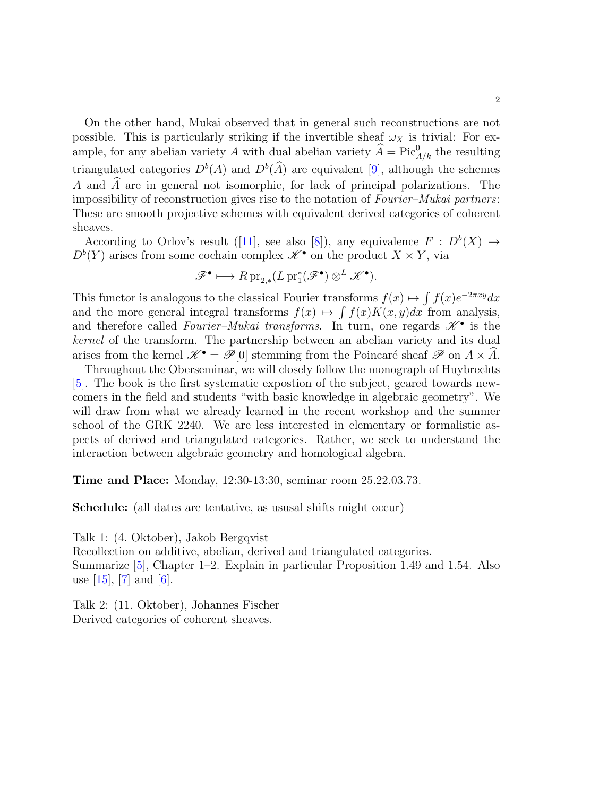On the other hand, Mukai observed that in general such reconstructions are not possible. This is particularly striking if the invertible sheaf  $\omega_X$  is trivial: For example, for any abelian variety A with dual abelian variety  $\widehat{A} = \text{Pic}_{A/k}^0$  the resulting triangulated categories  $D^b(A)$  and  $D^b(\widehat{A})$  are equivalent [\[9\]](#page-3-5), although the schemes A and  $\widehat{A}$  are in general not isomorphic, for lack of principal polarizations. The impossibility of reconstruction gives rise to the notation of Fourier–Mukai partners: These are smooth projective schemes with equivalent derived categories of coherent sheaves.

According to Orlov's result ([\[11\]](#page-3-6), see also [\[8\]](#page-3-7)), any equivalence  $F : D^b(X) \to$  $D^{b}(Y)$  arises from some cochain complex  $\mathscr{K}^{\bullet}$  on the product  $X \times Y$ , via

$$
\mathscr{F}^{\bullet} \longmapsto R \operatorname{pr}_{2,*}(L \operatorname{pr}_1^*(\mathscr{F}^{\bullet}) \otimes^L \mathscr{K}^{\bullet}).
$$

This functor is analogous to the classical Fourier transforms  $f(x) \mapsto \int f(x)e^{-2\pi xy} dx$ and the more general integral transforms  $f(x) \mapsto \int f(x)K(x,y)dx$  from analysis, and therefore called Fourier-Mukai transforms. In turn, one regards  $\mathscr{K}^{\bullet}$  is the kernel of the transform. The partnership between an abelian variety and its dual arises from the kernel  $\mathscr{K}^{\bullet} = \mathscr{P}[0]$  stemming from the Poincaré sheaf  $\mathscr{P}$  on  $A \times \widehat{A}$ .

Throughout the Oberseminar, we will closely follow the monograph of Huybrechts [\[5\]](#page-3-8). The book is the first systematic expostion of the subject, geared towards newcomers in the field and students "with basic knowledge in algebraic geometry". We will draw from what we already learned in the recent workshop and the summer school of the GRK 2240. We are less interested in elementary or formalistic aspects of derived and triangulated categories. Rather, we seek to understand the interaction between algebraic geometry and homological algebra.

Time and Place: Monday, 12:30-13:30, seminar room 25.22.03.73.

Schedule: (all dates are tentative, as ususal shifts might occur)

Talk 1: (4. Oktober), Jakob Bergqvist

Recollection on additive, abelian, derived and triangulated categories. Summarize [\[5\]](#page-3-8), Chapter 1–2. Explain in particular Proposition 1.49 and 1.54. Also use  $[15]$ ,  $[7]$  and  $[6]$ .

Talk 2: (11. Oktober), Johannes Fischer Derived categories of coherent sheaves.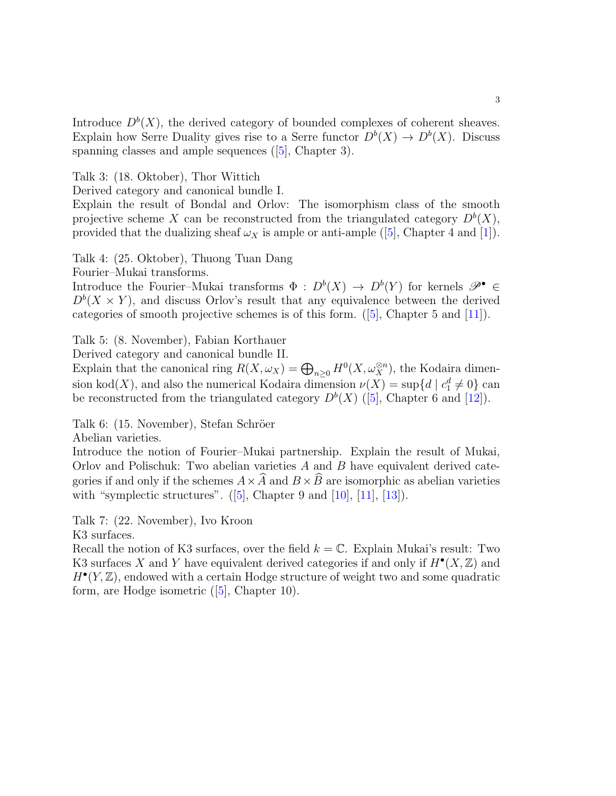Introduce  $D^b(X)$ , the derived category of bounded complexes of coherent sheaves. Explain how Serre Duality gives rise to a Serre functor  $D^b(X) \to D^b(X)$ . Discuss spanning classes and ample sequences ([\[5\]](#page-3-8), Chapter 3).

Talk 3: (18. Oktober), Thor Wittich

Derived category and canonical bundle I.

Explain the result of Bondal and Orlov: The isomorphism class of the smooth projective scheme X can be reconstructed from the triangulated category  $D^b(X)$ , provided that the dualizing sheaf  $\omega_X$  is ample or anti-ample ([\[5\]](#page-3-8), Chapter 4 and [\[1\]](#page-3-4)).

Talk 4: (25. Oktober), Thuong Tuan Dang

Fourier–Mukai transforms.

Introduce the Fourier–Mukai transforms  $\Phi : D^b(X) \to D^b(Y)$  for kernels  $\mathscr{P}^{\bullet} \in$  $D^{b}(X \times Y)$ , and discuss Orlov's result that any equivalence between the derived categories of smooth projective schemes is of this form. ([\[5\]](#page-3-8), Chapter 5 and [\[11\]](#page-3-6)).

Talk 5: (8. November), Fabian Korthauer

Derived category and canonical bundle II.

Explain that the canonical ring  $R(X, \omega_X) = \bigoplus_{n \geq 0} H^0(X, \omega_X^{\otimes n})$ , the Kodaira dimension kod(X), and also the numerical Kodaira dimension  $\nu(X) = \sup\{d \mid c_1^d \neq 0\}$  can be reconstructed from the triangulated category  $D^{b}(X)$  ([\[5\]](#page-3-8), Chapter 6 and [\[12\]](#page-3-11)).

Talk 6: (15. November), Stefan Schröer

Abelian varieties.

Introduce the notion of Fourier–Mukai partnership. Explain the result of Mukai, Orlov and Polischuk: Two abelian varieties A and B have equivalent derived categories if and only if the schemes  $A \times \widehat{A}$  and  $B \times \widehat{B}$  are isomorphic as abelian varieties with "symplectic structures".  $([5]$  $([5]$ , Chapter 9 and  $[10]$ ,  $[11]$ ,  $[13]$ ).

Talk 7: (22. November), Ivo Kroon

K3 surfaces.

Recall the notion of K3 surfaces, over the field  $k = \mathbb{C}$ . Explain Mukai's result: Two K3 surfaces X and Y have equivalent derived categories if and only if  $H^{\bullet}(X,\mathbb{Z})$  and  $H^{\bullet}(Y, \mathbb{Z})$ , endowed with a certain Hodge structure of weight two and some quadratic form, are Hodge isometric ([\[5\]](#page-3-8), Chapter 10).